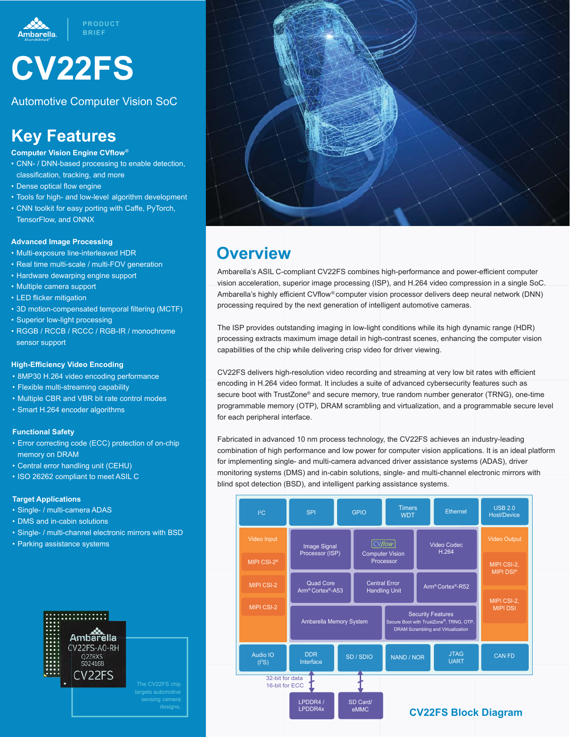



Automotive Computer Vision SoC

## **Key Features**

#### **Computer Vision Engine CVflow®**

- CNN- / DNN-based processing to enable detection, classification, tracking, and more
- Dense optical flow engine
- Tools for high- and low-level algorithm development
- CNN toolkit for easy porting with Caffe, PyTorch,
- TensorFlow, and ONNX

## **Advanced Image Processing**

- Multi-exposure line-interleaved HDR
- Real time multi-scale / multi-FOV generation
- Hardware dewarping engine support
- Multiple camera support
- LED flicker mitigation
- 3D motion-compensated temporal filtering (MCTF)
- Superior low-light processing
- RGGB / RCCB / RCCC / RGB-IR / monochrome sensor support

### **High-Efficiency Video Encoding**

- 8MP30 H.264 video encoding performance
- Flexible multi-streaming capability
- Multiple CBR and VBR bit rate control modes
- Smart H.264 encoder algorithms

## **Functional Safety**

- Error correcting code (ECC) protection of on-chip memory on DRAM
- Central error handling unit (CEHU)
- ISO 26262 compliant to meet ASIL C

## **Target Applications**

- Single- / multi-camera ADAS
- DMS and in-cabin solutions
- Single- / multi-channel electronic mirrors with BSD
- Parking assistance systems





## **Overview**

Ambarella's ASIL C-compliant CV22FS combines high-performance and power-efficient computer vision acceleration, superior image processing (ISP), and H.264 video compression in a single SoC. Ambarella's highly efficient CVflow® computer vision processor delivers deep neural network (DNN) processing required by the next generation of intelligent automotive cameras.

The ISP provides outstanding imaging in low-light conditions while its high dynamic range (HDR) processing extracts maximum image detail in high-contrast scenes, enhancing the computer vision capabilities of the chip while delivering crisp video for driver viewing.

CV22FS delivers high-resolution video recording and streaming at very low bit rates with efficient encoding in H.264 video format. It includes a suite of advanced cybersecurity features such as secure boot with TrustZone® and secure memory, true random number generator (TRNG), one-time programmable memory (OTP), DRAM scrambling and virtualization, and a programmable secure level for each peripheral interface.

Fabricated in advanced 10 nm process technology, the CV22FS achieves an industry-leading combination of high performance and low power for computer vision applications. It is an ideal platform for implementing single- and multi-camera advanced driver assistance systems (ADAS), driver monitoring systems (DMS) and in-cabin solutions, single- and multi-channel electronic mirrors with blind spot detection (BSD), and intelligent parking assistance systems.